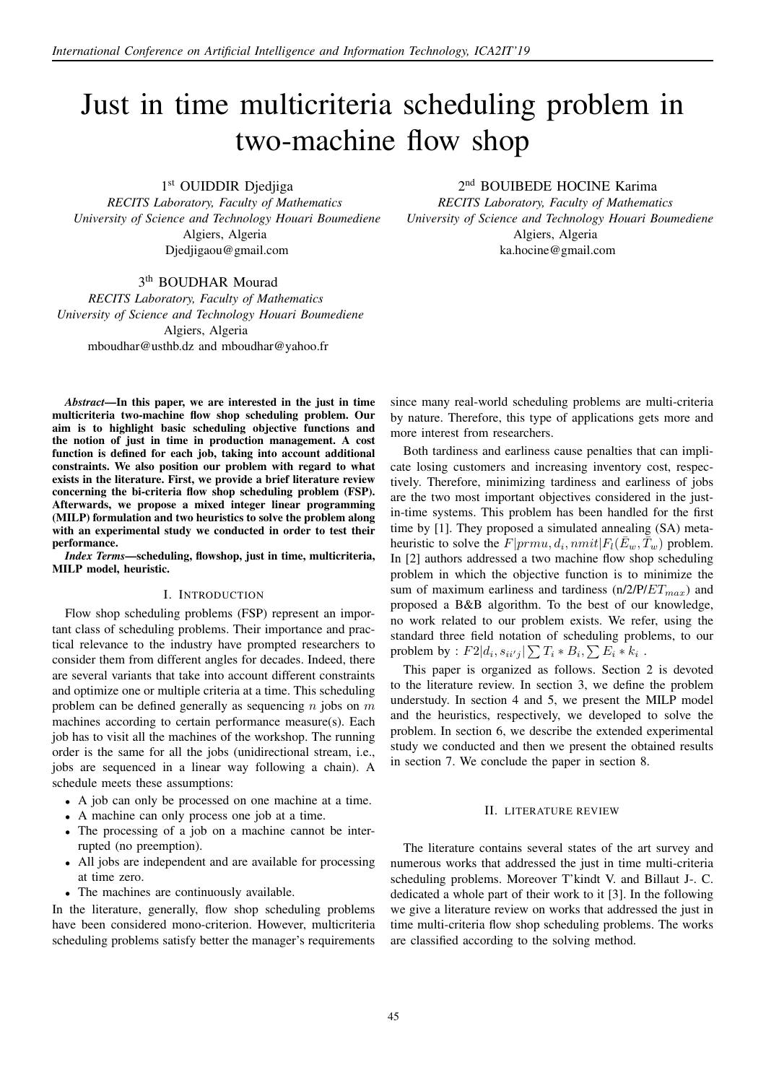# Just in time multicriteria scheduling problem in two-machine flow shop

1<sup>st</sup> OUIDDIR Djedjiga

*RECITS Laboratory, Faculty of Mathematics University of Science and Technology Houari Boumediene* Algiers, Algeria Djedjigaou@gmail.com

3<sup>th</sup> BOUDHAR Mourad

*RECITS Laboratory, Faculty of Mathematics University of Science and Technology Houari Boumediene* Algiers, Algeria mboudhar@usthb.dz and mboudhar@yahoo.fr

*Abstract*—In this paper, we are interested in the just in time multicriteria two-machine flow shop scheduling problem. Our aim is to highlight basic scheduling objective functions and the notion of just in time in production management. A cost function is defined for each job, taking into account additional constraints. We also position our problem with regard to what exists in the literature. First, we provide a brief literature review concerning the bi-criteria flow shop scheduling problem (FSP). Afterwards, we propose a mixed integer linear programming (MILP) formulation and two heuristics to solve the problem along with an experimental study we conducted in order to test their performance.

*Index Terms*—scheduling, flowshop, just in time, multicriteria, MILP model, heuristic.

#### I. INTRODUCTION

Flow shop scheduling problems (FSP) represent an important class of scheduling problems. Their importance and practical relevance to the industry have prompted researchers to consider them from different angles for decades. Indeed, there are several variants that take into account different constraints and optimize one or multiple criteria at a time. This scheduling problem can be defined generally as sequencing  $n$  jobs on  $m$ machines according to certain performance measure(s). Each job has to visit all the machines of the workshop. The running order is the same for all the jobs (unidirectional stream, i.e., jobs are sequenced in a linear way following a chain). A schedule meets these assumptions:

- A job can only be processed on one machine at a time.
- A machine can only process one job at a time.
- The processing of a job on a machine cannot be interrupted (no preemption).
- All jobs are independent and are available for processing at time zero.
- The machines are continuously available.

In the literature, generally, flow shop scheduling problems have been considered mono-criterion. However, multicriteria scheduling problems satisfy better the manager's requirements 2 nd BOUIBEDE HOCINE Karima

*RECITS Laboratory, Faculty of Mathematics University of Science and Technology Houari Boumediene* Algiers, Algeria ka.hocine@gmail.com

since many real-world scheduling problems are multi-criteria by nature. Therefore, this type of applications gets more and more interest from researchers.

Both tardiness and earliness cause penalties that can implicate losing customers and increasing inventory cost, respectively. Therefore, minimizing tardiness and earliness of jobs are the two most important objectives considered in the justin-time systems. This problem has been handled for the first time by [1]. They proposed a simulated annealing (SA) metaheuristic to solve the  $F|prmu, d_i, nmit|F_l(\bar{E}_w, \bar{T}_w)$  problem. In [2] authors addressed a two machine flow shop scheduling problem in which the objective function is to minimize the sum of maximum earliness and tardiness (n/2/P/ $ET_{max}$ ) and proposed a B&B algorithm. To the best of our knowledge, no work related to our problem exists. We refer, using the standard three field notation of scheduling problems, to our problem by :  $F2|d_i, s_{ii'j}|\sum T_i * B_i, \sum E_i * k_i$ .

This paper is organized as follows. Section 2 is devoted to the literature review. In section 3, we define the problem understudy. In section 4 and 5, we present the MILP model and the heuristics, respectively, we developed to solve the problem. In section 6, we describe the extended experimental study we conducted and then we present the obtained results in section 7. We conclude the paper in section 8.

## II. LITERATURE REVIEW

The literature contains several states of the art survey and numerous works that addressed the just in time multi-criteria scheduling problems. Moreover T'kindt V. and Billaut J-. C. dedicated a whole part of their work to it [3]. In the following we give a literature review on works that addressed the just in time multi-criteria flow shop scheduling problems. The works are classified according to the solving method.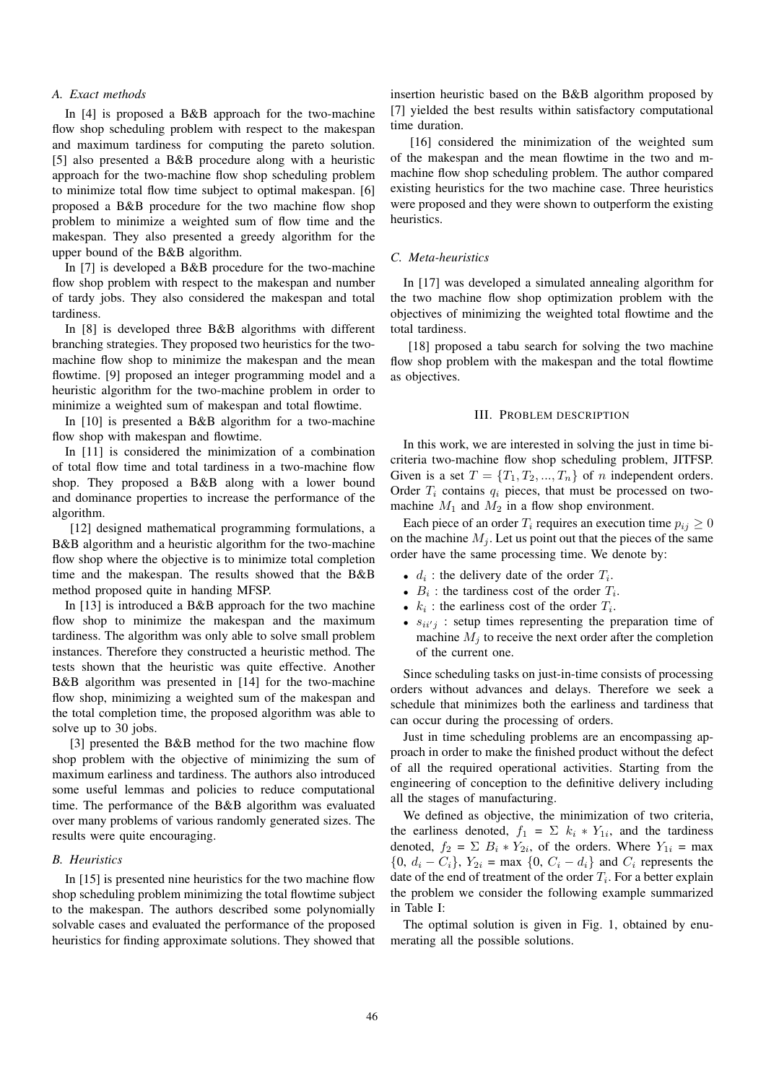# *A. Exact methods*

In [4] is proposed a B&B approach for the two-machine flow shop scheduling problem with respect to the makespan and maximum tardiness for computing the pareto solution. [5] also presented a B&B procedure along with a heuristic approach for the two-machine flow shop scheduling problem to minimize total flow time subject to optimal makespan. [6] proposed a B&B procedure for the two machine flow shop problem to minimize a weighted sum of flow time and the makespan. They also presented a greedy algorithm for the upper bound of the B&B algorithm.

In [7] is developed a B&B procedure for the two-machine flow shop problem with respect to the makespan and number of tardy jobs. They also considered the makespan and total tardiness.

In [8] is developed three B&B algorithms with different branching strategies. They proposed two heuristics for the twomachine flow shop to minimize the makespan and the mean flowtime. [9] proposed an integer programming model and a heuristic algorithm for the two-machine problem in order to minimize a weighted sum of makespan and total flowtime.

In [10] is presented a B&B algorithm for a two-machine flow shop with makespan and flowtime.

In [11] is considered the minimization of a combination of total flow time and total tardiness in a two-machine flow shop. They proposed a B&B along with a lower bound and dominance properties to increase the performance of the algorithm.

[12] designed mathematical programming formulations, a B&B algorithm and a heuristic algorithm for the two-machine flow shop where the objective is to minimize total completion time and the makespan. The results showed that the B&B method proposed quite in handing MFSP.

In [13] is introduced a B&B approach for the two machine flow shop to minimize the makespan and the maximum tardiness. The algorithm was only able to solve small problem instances. Therefore they constructed a heuristic method. The tests shown that the heuristic was quite effective. Another B&B algorithm was presented in [14] for the two-machine flow shop, minimizing a weighted sum of the makespan and the total completion time, the proposed algorithm was able to solve up to 30 jobs.

[3] presented the B&B method for the two machine flow shop problem with the objective of minimizing the sum of maximum earliness and tardiness. The authors also introduced some useful lemmas and policies to reduce computational time. The performance of the B&B algorithm was evaluated over many problems of various randomly generated sizes. The results were quite encouraging.

# *B. Heuristics*

In [15] is presented nine heuristics for the two machine flow shop scheduling problem minimizing the total flowtime subject to the makespan. The authors described some polynomially solvable cases and evaluated the performance of the proposed heuristics for finding approximate solutions. They showed that

insertion heuristic based on the B&B algorithm proposed by [7] yielded the best results within satisfactory computational time duration.

[16] considered the minimization of the weighted sum of the makespan and the mean flowtime in the two and mmachine flow shop scheduling problem. The author compared existing heuristics for the two machine case. Three heuristics were proposed and they were shown to outperform the existing heuristics.

### *C. Meta-heuristics*

In [17] was developed a simulated annealing algorithm for the two machine flow shop optimization problem with the objectives of minimizing the weighted total flowtime and the total tardiness.

[18] proposed a tabu search for solving the two machine flow shop problem with the makespan and the total flowtime as objectives.

### III. PROBLEM DESCRIPTION

In this work, we are interested in solving the just in time bicriteria two-machine flow shop scheduling problem, JITFSP. Given is a set  $T = \{T_1, T_2, ..., T_n\}$  of *n* independent orders. Order  $T_i$  contains  $q_i$  pieces, that must be processed on twomachine  $M_1$  and  $M_2$  in a flow shop environment.

Each piece of an order  $T_i$  requires an execution time  $p_{ij} \geq 0$ on the machine  $M_i$ . Let us point out that the pieces of the same order have the same processing time. We denote by:

- $d_i$ : the delivery date of the order  $T_i$ .
- $B_i$ : the tardiness cost of the order  $T_i$ .
- $k_i$ : the earliness cost of the order  $T_i$ .
- $s_{ii'j}$  : setup times representing the preparation time of machine  $M_i$  to receive the next order after the completion of the current one.

Since scheduling tasks on just-in-time consists of processing orders without advances and delays. Therefore we seek a schedule that minimizes both the earliness and tardiness that can occur during the processing of orders.

Just in time scheduling problems are an encompassing approach in order to make the finished product without the defect of all the required operational activities. Starting from the engineering of conception to the definitive delivery including all the stages of manufacturing.

We defined as objective, the minimization of two criteria, the earliness denoted,  $f_1 = \sum k_i * Y_{1i}$ , and the tardiness denoted,  $f_2 = \sum B_i * Y_{2i}$ , of the orders. Where  $Y_{1i} = \max$  ${0, d_i - C_i}$ ,  $Y_{2i} = \max\{0, C_i - d_i\}$  and  $C_i$  represents the date of the end of treatment of the order  $T_i$ . For a better explain the problem we consider the following example summarized in Table I:

The optimal solution is given in Fig. 1, obtained by enumerating all the possible solutions.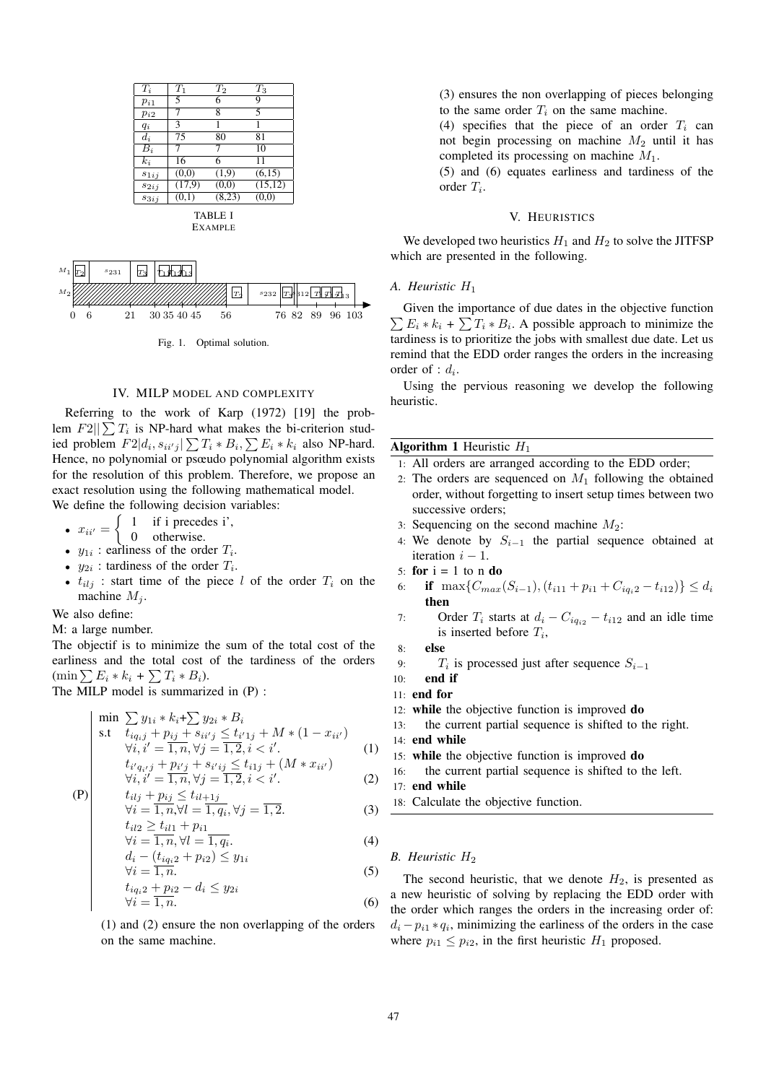| $T_i$          | $T_1$  | $T_2$              | $T_3$    |
|----------------|--------|--------------------|----------|
| $p_{i1}$       | 5      | 6                  | 9        |
| $p_{i2}$       | 7      | 8                  | 5        |
| $q_i$          | 3      |                    | 1        |
| $d_i$          | 75     | 80                 | 81       |
| $B_i$          | 7      | 7                  | 10       |
| $k_i$          | 16     | 6                  | 11       |
| $s_{1ij}$      | (0,0)  | (1,9)              | (6,15)   |
| $s_{2ij}$      | (17,9) | $\overline{(0,0)}$ | (15, 12) |
| $s_{3ij}$      | (0,1)  | (8,23)             | (0,0)    |
| <b>TABLE I</b> |        |                    |          |

EXAMPLE



Fig. 1. Optimal solution.

# IV. MILP MODEL AND COMPLEXITY

Referring to the work of Karp (1972) [19] the problem  $F2||\sum T_i$  is NP-hard what makes the bi-criterion studied problem  $F2|d_i, s_{ii'j}| \sum T_i * B_i, \sum E_i * k_i$  also NP-hard. Hence, no polynomial or psœudo polynomial algorithm exists for the resolution of this problem. Therefore, we propose an exact resolution using the following mathematical model.

We define the following decision variables:

•  $x_{ii'} =$  $\int 1$  if i precedes i', 0 otherwise.

- $y_{1i}$ : earliness of the order  $T_i$ .
- $y_{2i}$ : tardiness of the order  $T_i$ .
- $t_{ilj}$  : start time of the piece l of the order  $T_i$  on the machine  $M_i$ .

We also define:

M: a large number.

The objectif is to minimize the sum of the total cost of the earliness and the total cost of the tardiness of the orders  $(\min \sum E_i * k_i + \sum T_i * B_i).$ 

The MILP model is summarized in (P) :

$$
\begin{vmatrix}\n\min \sum y_{1i} * k_i + \sum y_{2i} * B_i \\
\text{s.t} \quad t_{iq_i j} + p_{ij} + s_{ii'j} \le t_{i'1j} + M * (1 - x_{ii'}) \\
\forall i, i' = 1, n, \forall j = 1, 2, i < i'. \\
t_{i'q_{i'}j} + p_{i'j} + s_{i'ij} \le t_{i1j} + (M * x_{ii'})\n\end{vmatrix} \tag{1}
$$

$$
\begin{array}{ll}\n\mathbf{p} & \begin{cases}\n i_i q_{i,j} + p_{i'j} + s_{i'ij} > i_{i,j} + (M * x_{ii'}) \\
 \forall i, i' = 1, n, \forall j = 1, 2, i < i'.\n\end{cases} \\
\text{(P)} & \begin{cases}\n t_{i1j} + p_{ij} \leq t_{i1+1j} \\
 t_{i1j} + p_{ij} < i.\n\end{cases}\n\end{array}\n\end{array}\n\tag{2}
$$

$$
\forall i = \frac{1}{1, n}, \forall l = \frac{1}{1, q_i}, \forall j = \overline{1, 2}.
$$
  

$$
t_{il2} \ge t_{il1} + p_{i1}
$$
 (3)

$$
\forall i = \overline{1, n}, \forall l = \overline{1, q_i}.
$$
\n(4)

$$
d_i - (t_{iq_i 2} + p_{i2}) \le y_{1i}
$$
  
\n
$$
\forall i = 1, n.
$$
  
\n
$$
t_{iq_i 2} + p_{i2} - d_i \le y_{2i}
$$
 (5)

$$
\forall i = \frac{1}{1, n}.\tag{6}
$$

(1) and (2) ensure the non overlapping of the orders on the same machine.

(3) ensures the non overlapping of pieces belonging to the same order  $T_i$  on the same machine.

(4) specifies that the piece of an order  $T_i$  can not begin processing on machine  $M_2$  until it has completed its processing on machine  $M_1$ .

(5) and (6) equates earliness and tardiness of the  $\text{order } T_i$ .

# V. HEURISTICS

We developed two heuristics  $H_1$  and  $H_2$  to solve the JITFSP which are presented in the following.

## *A. Heuristic* H<sup>1</sup>

 $\sum E_i * k_i + \sum T_i * B_i$ . A possible approach to minimize the Given the importance of due dates in the objective function tardiness is to prioritize the jobs with smallest due date. Let us remind that the EDD order ranges the orders in the increasing order of :  $d_i$ .

Using the pervious reasoning we develop the following heuristic.

#### **Algorithm 1 Heuristic**  $H_1$

- 1: All orders are arranged according to the EDD order;
- 2: The orders are sequenced on  $M_1$  following the obtained order, without forgetting to insert setup times between two successive orders;
- 3: Sequencing on the second machine  $M_2$ :
- 4: We denote by  $S_{i-1}$  the partial sequence obtained at iteration  $i - 1$ .
- 5: for  $i = 1$  to n do
- 6: **if**  $\max\{C_{max}(S_{i-1}), (t_{i11} + p_{i1} + C_{iai2} t_{i12})\} \le d_i$ then
- 7: Order  $T_i$  starts at  $d_i C_{iq_{i2}} t_{i12}$  and an idle time is inserted before  $T_i$ ,
- 8: else
- 9:  $T_i$  is processed just after sequence  $S_{i-1}$
- 10: end if
- 11: end for
- 12: while the objective function is improved do
- 13: the current partial sequence is shifted to the right.

14: end while

- 15: while the objective function is improved do
- 16: the current partial sequence is shifted to the left.
- 17: end while
- 18: Calculate the objective function.

# *B. Heuristic* H<sup>2</sup>

The second heuristic, that we denote  $H_2$ , is presented as a new heuristic of solving by replacing the EDD order with the order which ranges the orders in the increasing order of:  $d_i - p_{i1} * q_i$ , minimizing the earliness of the orders in the case where  $p_{i1} \leq p_{i2}$ , in the first heuristic  $H_1$  proposed.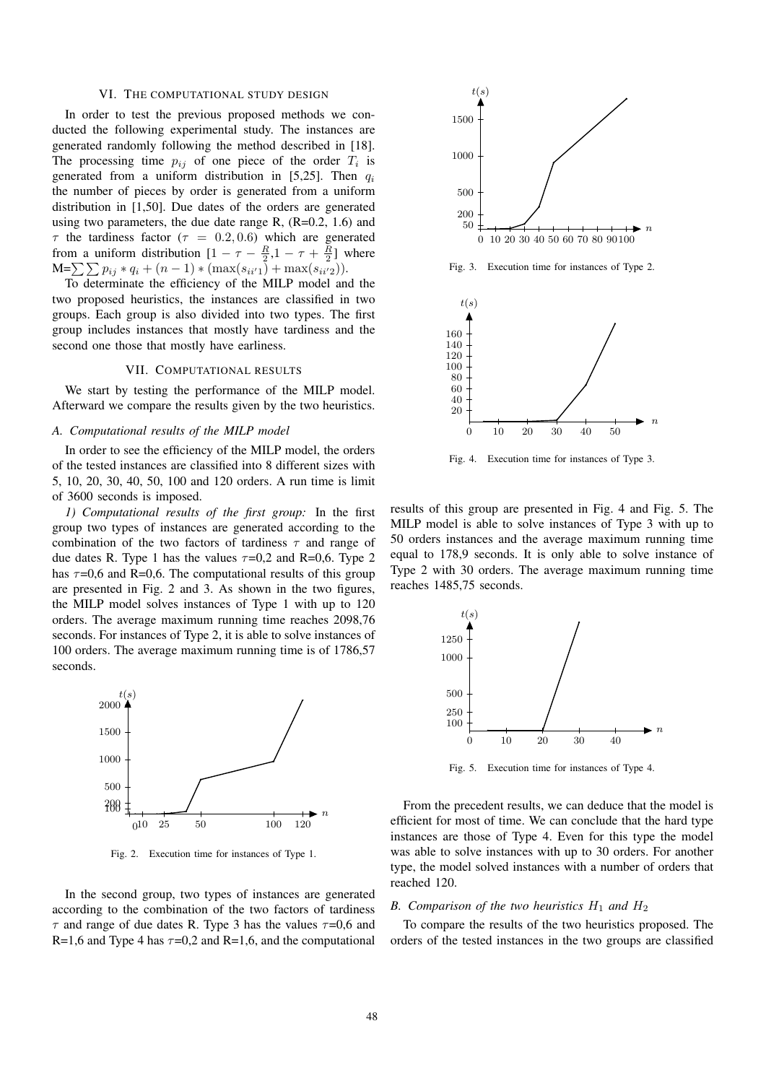## VI. THE COMPUTATIONAL STUDY DESIGN

In order to test the previous proposed methods we conducted the following experimental study. The instances are generated randomly following the method described in [18]. The processing time  $p_{ij}$  of one piece of the order  $T_i$  is generated from a uniform distribution in [5,25]. Then  $q_i$ the number of pieces by order is generated from a uniform distribution in [1,50]. Due dates of the orders are generated using two parameters, the due date range R,  $(R=0.2, 1.6)$  and  $\tau$  the tardiness factor ( $\tau = 0.2, 0.6$ ) which are generated from a uniform distribution  $[1 - \tau - \frac{R}{2}, 1 - \tau + \frac{R}{2}]$  where  $M=\sum\sum p_{ij} * q_i + (n-1) * (max(s_{ii'1}) + max(s_{ii'2})).$ 

To determinate the efficiency of the MILP model and the two proposed heuristics, the instances are classified in two groups. Each group is also divided into two types. The first group includes instances that mostly have tardiness and the second one those that mostly have earliness.

#### VII. COMPUTATIONAL RESULTS

We start by testing the performance of the MILP model. Afterward we compare the results given by the two heuristics.

## *A. Computational results of the MILP model*

In order to see the efficiency of the MILP model, the orders of the tested instances are classified into 8 different sizes with 5, 10, 20, 30, 40, 50, 100 and 120 orders. A run time is limit of 3600 seconds is imposed.

*1) Computational results of the first group:* In the first group two types of instances are generated according to the combination of the two factors of tardiness  $\tau$  and range of due dates R. Type 1 has the values  $\tau=0.2$  and R=0,6. Type 2 has  $\tau$ =0,6 and R=0,6. The computational results of this group are presented in Fig. 2 and 3. As shown in the two figures, the MILP model solves instances of Type 1 with up to 120 orders. The average maximum running time reaches 2098,76 seconds. For instances of Type 2, it is able to solve instances of 100 orders. The average maximum running time is of 1786,57 seconds.



Fig. 2. Execution time for instances of Type 1.

In the second group, two types of instances are generated according to the combination of the two factors of tardiness  $\tau$  and range of due dates R. Type 3 has the values  $\tau$ =0,6 and R=1,6 and Type 4 has  $\tau$ =0,2 and R=1,6, and the computational



Fig. 4. Execution time for instances of Type 3.

results of this group are presented in Fig. 4 and Fig. 5. The MILP model is able to solve instances of Type 3 with up to 50 orders instances and the average maximum running time equal to 178,9 seconds. It is only able to solve instance of Type 2 with 30 orders. The average maximum running time reaches 1485,75 seconds.



Fig. 5. Execution time for instances of Type 4.

From the precedent results, we can deduce that the model is efficient for most of time. We can conclude that the hard type instances are those of Type 4. Even for this type the model was able to solve instances with up to 30 orders. For another type, the model solved instances with a number of orders that reached 120.

# *B. Comparison of the two heuristics*  $H_1$  *and*  $H_2$

To compare the results of the two heuristics proposed. The orders of the tested instances in the two groups are classified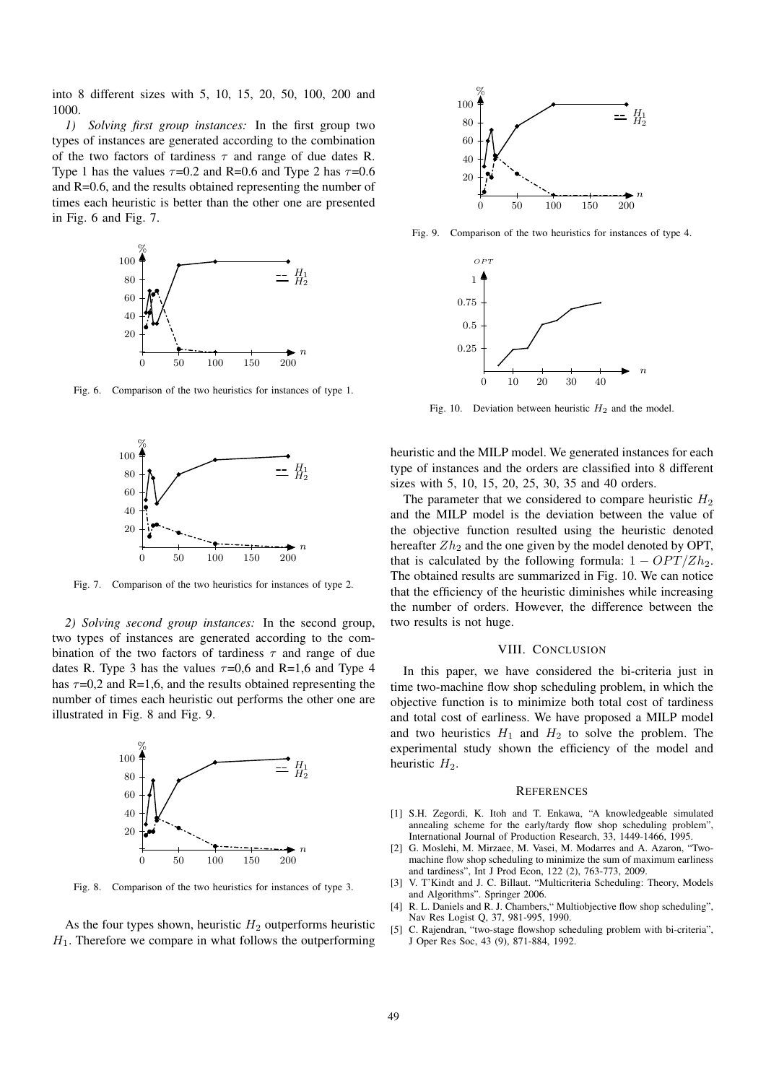into 8 different sizes with 5, 10, 15, 20, 50, 100, 200 and 1000.

*1) Solving first group instances:* In the first group two types of instances are generated according to the combination of the two factors of tardiness  $\tau$  and range of due dates R. Type 1 has the values  $\tau$ =0.2 and R=0.6 and Type 2 has  $\tau$ =0.6 and R=0.6, and the results obtained representing the number of times each heuristic is better than the other one are presented in Fig. 6 and Fig. 7.



Fig. 6. Comparison of the two heuristics for instances of type 1.



Fig. 7. Comparison of the two heuristics for instances of type 2.

*2) Solving second group instances:* In the second group, two types of instances are generated according to the combination of the two factors of tardiness  $\tau$  and range of due dates R. Type 3 has the values  $\tau=0.6$  and R=1,6 and Type 4 has  $\tau$ =0,2 and R=1,6, and the results obtained representing the number of times each heuristic out performs the other one are illustrated in Fig. 8 and Fig. 9.



Fig. 8. Comparison of the two heuristics for instances of type 3.

As the four types shown, heuristic  $H_2$  outperforms heuristic  $H_1$ . Therefore we compare in what follows the outperforming



Fig. 9. Comparison of the two heuristics for instances of type 4.



Fig. 10. Deviation between heuristic  $H_2$  and the model.

heuristic and the MILP model. We generated instances for each type of instances and the orders are classified into 8 different sizes with 5, 10, 15, 20, 25, 30, 35 and 40 orders.

The parameter that we considered to compare heuristic  $H_2$ and the MILP model is the deviation between the value of the objective function resulted using the heuristic denoted hereafter  $Zh<sub>2</sub>$  and the one given by the model denoted by OPT, that is calculated by the following formula:  $1 - OPT/Zh_2$ . The obtained results are summarized in Fig. 10. We can notice that the efficiency of the heuristic diminishes while increasing the number of orders. However, the difference between the two results is not huge.

# VIII. CONCLUSION

and two heuristics  $H_1$  and  $H_2$  to solve the problem. The heuristic  $H_2$ . In this paper, we have considered the bi-criteria just in time two-machine flow shop scheduling problem, in which the objective function is to minimize both total cost of tardiness and total cost of earliness. We have proposed a MILP model experimental study shown the efficiency of the model and

#### **REFERENCES**

- [1] S.H. Zegordi, K. Itoh and T. Enkawa, "A knowledgeable simulated annealing scheme for the early/tardy flow shop scheduling problem", International Journal of Production Research, 33, 1449-1466, 1995.
- [2] G. Moslehi, M. Mirzaee, M. Vasei, M. Modarres and A. Azaron, "Twomachine flow shop scheduling to minimize the sum of maximum earliness and tardiness", Int J Prod Econ, 122 (2), 763-773, 2009.
- [3] V. T'Kindt and J. C. Billaut. "Multicriteria Scheduling: Theory, Models and Algorithms". Springer 2006.
- [4] R. L. Daniels and R. J. Chambers, "Multiobjective flow shop scheduling", Nav Res Logist Q, 37, 981-995, 1990.
- [5] C. Rajendran, "two-stage flowshop scheduling problem with bi-criteria", J Oper Res Soc, 43 (9), 871-884, 1992.